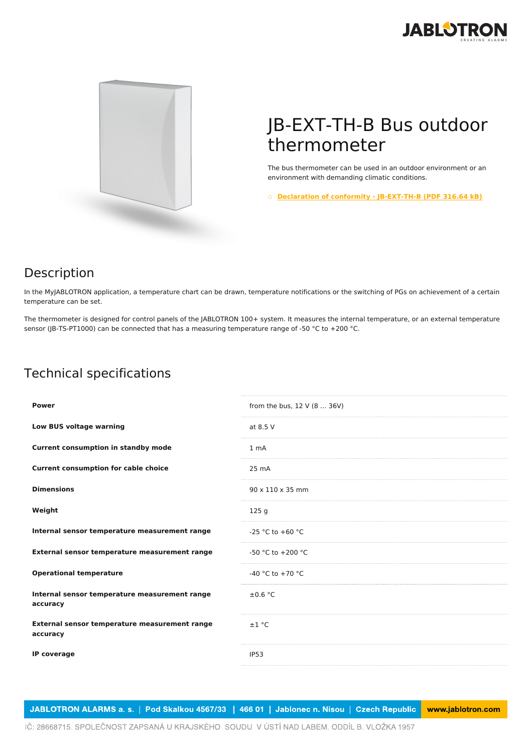



## JB-EXT-TH-B Bus outdoor thermometer

The bus thermometer can be used in an outdoor environment or an environment with demanding climatic conditions.

○ **Declaration of conformity - [JB-EXT-TH-B](https://www.jablotron.com/en/template/product/750/?file=0&jt_id=23040&hash=e5KerE&do=downloadCertificate) (PDF 316.64 kB)**

## Description

In the MyJABLOTRON application, a temperature chart can be drawn, temperature notifications or the switching of PGs on achievement of a certain temperature can be set.

The thermometer is designed for control panels of the JABLOTRON 100+ system. It measures the internal temperature, or an external temperature sensor (JB-TS-PT1000) can be connected that has a measuring temperature range of -50 °C to +200 °C.

## Technical specifications

| <b>Power</b>                                              | from the bus, 12 V (8  36V)  |
|-----------------------------------------------------------|------------------------------|
| Low BUS voltage warning                                   | at 8.5 V                     |
| <b>Current consumption in standby mode</b>                | 1 <sub>mA</sub>              |
| <b>Current consumption for cable choice</b>               | 25 mA                        |
| <b>Dimensions</b>                                         | $90 \times 110 \times 35$ mm |
| Weight                                                    | 125 g                        |
| Internal sensor temperature measurement range             | -25 °C to +60 °C             |
| External sensor temperature measurement range             | $-50$ °C to $+200$ °C        |
| <b>Operational temperature</b>                            | -40 °C to +70 °C             |
| Internal sensor temperature measurement range<br>accuracy | $\pm 0.6$ °C                 |
| External sensor temperature measurement range<br>accuracy | ±1 °C                        |
| IP coverage                                               | IP <sub>53</sub>             |

JABLOTRON ALARMS a. s. | Pod Skalkou 4567/33 | 466 01 | Jablonec n. Nisou | Czech Republic www.jablotron.com